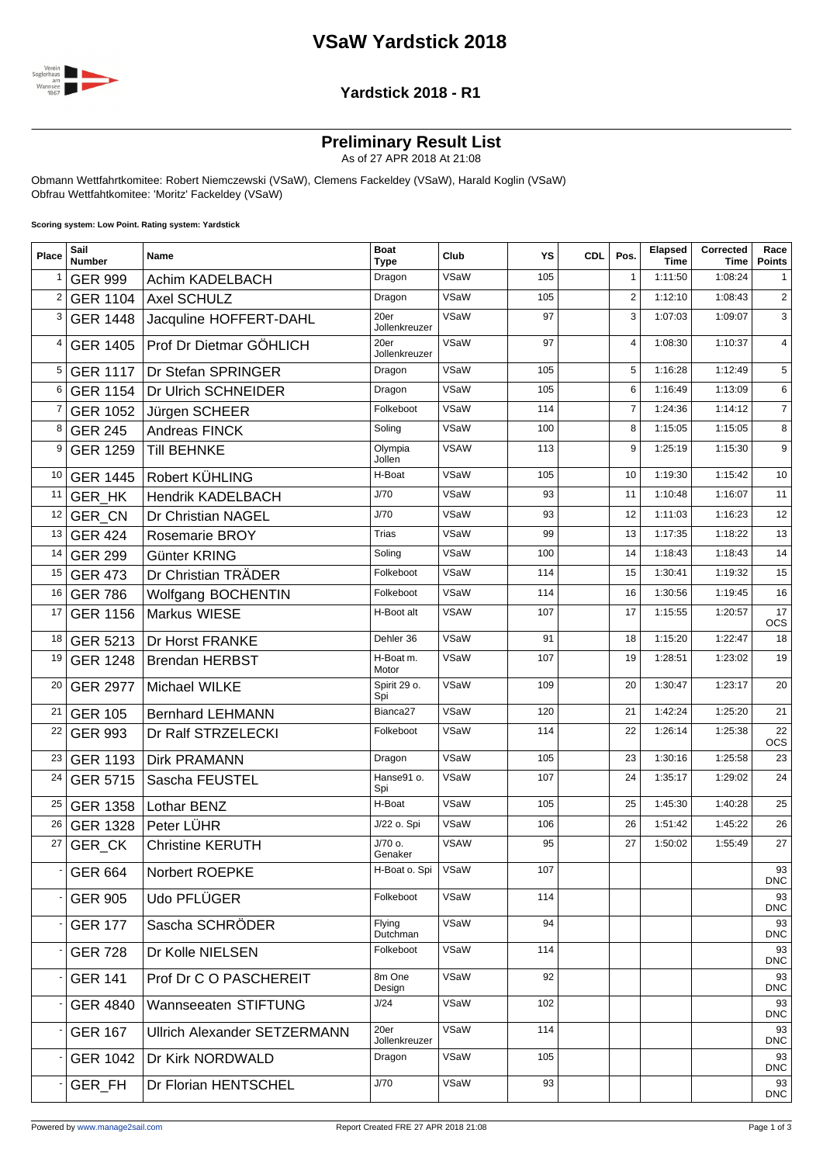## **VSaW Yardstick 2018**



#### **Yardstick 2018 - R1**

#### **Preliminary Result List**

As of 27 APR 2018 At 21:08

Obmann Wettfahrtkomitee: Robert Niemczewski (VSaW), Clemens Fackeldey (VSaW), Harald Koglin (VSaW) Obfrau Wettfahtkomitee: 'Moritz' Fackeldey (VSaW)

**Scoring system: Low Point. Rating system: Yardstick**

| Place | Sail<br><b>Number</b> | Name                                | <b>Boat</b><br><b>Type</b> | Club        | YS  | <b>CDL</b> | Pos.           | Elapsed<br><b>Time</b> | Corrected<br>Time | Race<br><b>Points</b> |
|-------|-----------------------|-------------------------------------|----------------------------|-------------|-----|------------|----------------|------------------------|-------------------|-----------------------|
| 1     | <b>GER 999</b>        | Achim KADELBACH                     | Dragon                     | VSaW        | 105 |            | $\mathbf{1}$   | 1:11:50                | 1:08:24           | 1                     |
| 2     | <b>GER 1104</b>       | Axel SCHULZ                         | Dragon                     | VSaW        | 105 |            | $\overline{2}$ | 1:12:10                | 1:08:43           | $\overline{2}$        |
| 3     | <b>GER 1448</b>       | Jacquline HOFFERT-DAHL              | 20er<br>Jollenkreuzer      | VSaW        | 97  |            | 3              | 1:07:03                | 1:09:07           | 3                     |
| 4     | <b>GER 1405</b>       | Prof Dr Dietmar GÖHLICH             | 20er<br>Jollenkreuzer      | VSaW        | 97  |            | $\overline{4}$ | 1:08:30                | 1:10:37           | $\overline{4}$        |
| 5     | <b>GER 1117</b>       | Dr Stefan SPRINGER                  | Dragon                     | VSaW        | 105 |            | 5              | 1:16:28                | 1:12:49           | 5                     |
| 6     | <b>GER 1154</b>       | Dr Ulrich SCHNEIDER                 | Dragon                     | VSaW        | 105 |            | 6              | 1:16:49                | 1:13:09           | 6                     |
| 7     | GER 1052              | Jürgen SCHEER                       | Folkeboot                  | VSaW        | 114 |            | $\overline{7}$ | 1:24:36                | 1:14:12           | $\overline{7}$        |
| 8     | <b>GER 245</b>        | Andreas FINCK                       | Soling                     | VSaW        | 100 |            | 8              | 1:15:05                | 1:15:05           | 8                     |
| 9     | <b>GER 1259</b>       | <b>Till BEHNKE</b>                  | Olympia<br>Jollen          | <b>VSAW</b> | 113 |            | 9              | 1:25:19                | 1:15:30           | 9                     |
| 10    | <b>GER 1445</b>       | Robert KÜHLING                      | H-Boat                     | VSaW        | 105 |            | 10             | 1:19:30                | 1:15:42           | 10                    |
| 11    | GER_HK                | <b>Hendrik KADELBACH</b>            | J/70                       | VSaW        | 93  |            | 11             | 1:10:48                | 1:16:07           | 11                    |
| 12    | <b>GER CN</b>         | Dr Christian NAGEL                  | J/70                       | VSaW        | 93  |            | 12             | 1:11:03                | 1:16:23           | 12                    |
| 13    | <b>GER 424</b>        | <b>Rosemarie BROY</b>               | <b>Trias</b>               | VSaW        | 99  |            | 13             | 1:17:35                | 1:18:22           | 13                    |
| 14    | <b>GER 299</b>        | Günter KRING                        | Soling                     | VSaW        | 100 |            | 14             | 1:18:43                | 1:18:43           | 14                    |
| 15    | <b>GER 473</b>        | Dr Christian TRÄDER                 | Folkeboot                  | VSaW        | 114 |            | 15             | 1:30:41                | 1:19:32           | 15                    |
| 16    | <b>GER 786</b>        | Wolfgang BOCHENTIN                  | Folkeboot                  | VSaW        | 114 |            | 16             | 1:30:56                | 1:19:45           | 16                    |
| 17    | <b>GER 1156</b>       | Markus WIESE                        | H-Boot alt                 | <b>VSAW</b> | 107 |            | 17             | 1:15:55                | 1:20:57           | 17<br><b>OCS</b>      |
| 18    | GER 5213              | Dr Horst FRANKE                     | Dehler 36                  | VSaW        | 91  |            | 18             | 1:15:20                | 1:22:47           | 18                    |
| 19    | <b>GER 1248</b>       | <b>Brendan HERBST</b>               | H-Boat m.<br>Motor         | VSaW        | 107 |            | 19             | 1:28:51                | 1:23:02           | 19                    |
| 20    | <b>GER 2977</b>       | Michael WILKE                       | Spirit 29 o.<br>Spi        | VSaW        | 109 |            | 20             | 1:30:47                | 1:23:17           | 20                    |
| 21    | <b>GER 105</b>        | <b>Bernhard LEHMANN</b>             | Bianca <sub>27</sub>       | VSaW        | 120 |            | 21             | 1:42:24                | 1:25:20           | 21                    |
| 22    | <b>GER 993</b>        | Dr Ralf STRZELECKI                  | Folkeboot                  | VSaW        | 114 |            | 22             | 1:26:14                | 1:25:38           | 22<br><b>OCS</b>      |
| 23    | <b>GER 1193</b>       | <b>Dirk PRAMANN</b>                 | Dragon                     | VSaW        | 105 |            | 23             | 1:30:16                | 1:25:58           | 23                    |
| 24    | <b>GER 5715</b>       | Sascha FEUSTEL                      | Hanse91 o.<br>Spi          | VSaW        | 107 |            | 24             | 1:35:17                | 1:29:02           | 24                    |
| 25    | <b>GER 1358</b>       | Lothar BENZ                         | H-Boat                     | VSaW        | 105 |            | 25             | 1:45:30                | 1:40:28           | 25                    |
| 26    | GER 1328              | Peter LÜHR                          | J/22 o. Spi                | VSaW        | 106 |            | 26             | 1:51:42                | 1:45:22           | 26                    |
| 27    | GER_CK                | <b>Christine KERUTH</b>             | J/70 o.<br>Genaker         | <b>VSAW</b> | 95  |            | 27             | 1:50:02                | 1:55:49           | 27                    |
|       | <b>GER 664</b>        | Norbert ROEPKE                      | H-Boat o. Spi              | VSaW        | 107 |            |                |                        |                   | 93<br><b>DNC</b>      |
|       | <b>GER 905</b>        | Udo PFLÜGER                         | Folkeboot                  | VSaW        | 114 |            |                |                        |                   | 93<br><b>DNC</b>      |
|       | <b>GER 177</b>        | Sascha SCHRÖDER                     | Flying<br>Dutchman         | VSaW        | 94  |            |                |                        |                   | 93<br><b>DNC</b>      |
|       | <b>GER 728</b>        | Dr Kolle NIELSEN                    | Folkeboot                  | VSaW        | 114 |            |                |                        |                   | 93<br><b>DNC</b>      |
|       | <b>GER 141</b>        | Prof Dr C O PASCHEREIT              | 8m One<br>Design           | VSaW        | 92  |            |                |                        |                   | 93<br><b>DNC</b>      |
|       | <b>GER 4840</b>       | Wannseeaten STIFTUNG                | J/24                       | VSaW        | 102 |            |                |                        |                   | 93<br><b>DNC</b>      |
|       | <b>GER 167</b>        | <b>Ullrich Alexander SETZERMANN</b> | 20er<br>Jollenkreuzer      | VSaW        | 114 |            |                |                        |                   | 93<br><b>DNC</b>      |
|       | <b>GER 1042</b>       | Dr Kirk NORDWALD                    | Dragon                     | VSaW        | 105 |            |                |                        |                   | 93<br><b>DNC</b>      |
|       | GER_FH                | Dr Florian HENTSCHEL                | J/70                       | VSaW        | 93  |            |                |                        |                   | 93<br><b>DNC</b>      |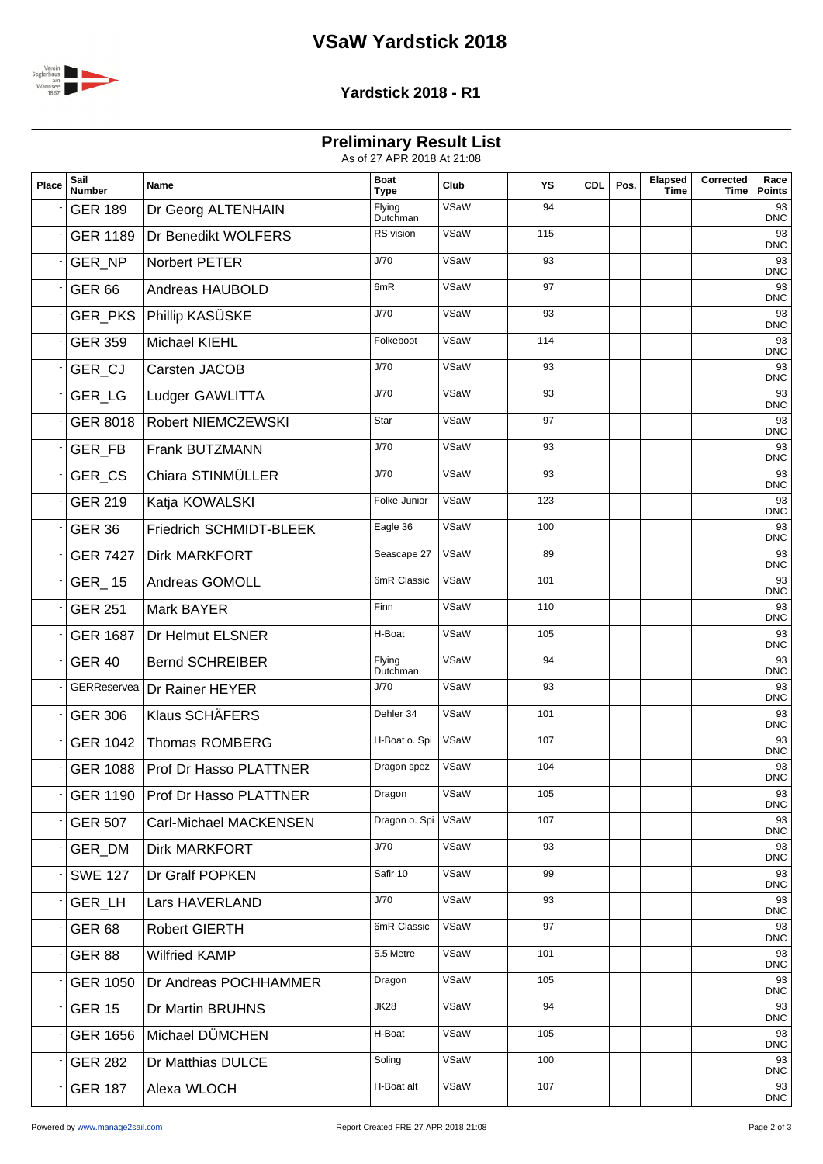# **VSaW Yardstick 2018**



### **Yardstick 2018 - R1**

**Preliminary Result List**

| As of 27 APR 2018 At 21:08 |  |
|----------------------------|--|
|                            |  |

| Place | Sail<br><b>Number</b> | <b>Name</b>                       | <b>Boat</b><br><b>Type</b> | Club | YS  | <b>CDL</b> | Pos. | Elapsed<br><b>Time</b> | Corrected<br>Time | Race<br><b>Points</b> |
|-------|-----------------------|-----------------------------------|----------------------------|------|-----|------------|------|------------------------|-------------------|-----------------------|
|       | <b>GER 189</b>        | Dr Georg ALTENHAIN                | Flying<br>Dutchman         | VSaW | 94  |            |      |                        |                   | 93<br><b>DNC</b>      |
|       | <b>GER 1189</b>       | Dr Benedikt WOLFERS               | RS vision                  | VSaW | 115 |            |      |                        |                   | 93<br><b>DNC</b>      |
|       | GER_NP                | Norbert PETER                     | J/70                       | VSaW | 93  |            |      |                        |                   | 93<br><b>DNC</b>      |
|       | <b>GER 66</b>         | Andreas HAUBOLD                   | 6mR                        | VSaW | 97  |            |      |                        |                   | 93<br><b>DNC</b>      |
|       | GER_PKS               | Phillip KASÜSKE                   | J/70                       | VSaW | 93  |            |      |                        |                   | 93<br><b>DNC</b>      |
|       | <b>GER 359</b>        | Michael KIEHL                     | Folkeboot                  | VSaW | 114 |            |      |                        |                   | 93<br><b>DNC</b>      |
|       | GER CJ                | Carsten JACOB                     | J/70                       | VSaW | 93  |            |      |                        |                   | 93<br><b>DNC</b>      |
|       | GER_LG                | Ludger GAWLITTA                   | J/70                       | VSaW | 93  |            |      |                        |                   | 93<br><b>DNC</b>      |
|       | <b>GER 8018</b>       | Robert NIEMCZEWSKI                | Star                       | VSaW | 97  |            |      |                        |                   | 93<br><b>DNC</b>      |
|       | <b>GER FB</b>         | Frank BUTZMANN                    | J/70                       | VSaW | 93  |            |      |                        |                   | 93<br><b>DNC</b>      |
|       | GER_CS                | Chiara STINMÜLLER                 | J/70                       | VSaW | 93  |            |      |                        |                   | 93<br><b>DNC</b>      |
|       | <b>GER 219</b>        | Katja KOWALSKI                    | Folke Junior               | VSaW | 123 |            |      |                        |                   | 93<br><b>DNC</b>      |
|       | <b>GER 36</b>         | Friedrich SCHMIDT-BLEEK           | Eagle 36                   | VSaW | 100 |            |      |                        |                   | 93<br><b>DNC</b>      |
|       | <b>GER 7427</b>       | <b>Dirk MARKFORT</b>              | Seascape 27                | VSaW | 89  |            |      |                        |                   | 93<br><b>DNC</b>      |
|       | <b>GER_15</b>         | Andreas GOMOLL                    | 6mR Classic                | VSaW | 101 |            |      |                        |                   | 93<br><b>DNC</b>      |
|       | <b>GER 251</b>        | Mark BAYER                        | Finn                       | VSaW | 110 |            |      |                        |                   | 93<br><b>DNC</b>      |
|       | <b>GER 1687</b>       | Dr Helmut ELSNER                  | H-Boat                     | VSaW | 105 |            |      |                        |                   | 93<br><b>DNC</b>      |
|       | <b>GER 40</b>         | <b>Bernd SCHREIBER</b>            | Flying<br>Dutchman         | VSaW | 94  |            |      |                        |                   | 93<br><b>DNC</b>      |
|       |                       | GERReservea   Dr Rainer HEYER     | J/70                       | VSaW | 93  |            |      |                        |                   | 93<br><b>DNC</b>      |
|       | <b>GER 306</b>        | <b>Klaus SCHÄFERS</b>             | Dehler 34                  | VSaW | 101 |            |      |                        |                   | 93<br><b>DNC</b>      |
|       | <b>GER 1042</b>       | Thomas ROMBERG                    | H-Boat o. Spi              | VSaW | 107 |            |      |                        |                   | 93<br><b>DNC</b>      |
|       |                       | GER 1088   Prof Dr Hasso PLATTNER | Dragon spez                | VSaW | 104 |            |      |                        |                   | 93<br><b>DNC</b>      |
|       |                       | GER 1190   Prof Dr Hasso PLATTNER | Dragon                     | VSaW | 105 |            |      |                        |                   | 93<br><b>DNC</b>      |
|       | <b>GER 507</b>        | Carl-Michael MACKENSEN            | Dragon o. Spi              | VSaW | 107 |            |      |                        |                   | 93<br><b>DNC</b>      |
|       | GER_DM                | Dirk MARKFORT                     | J/70                       | VSaW | 93  |            |      |                        |                   | 93<br><b>DNC</b>      |
|       | <b>SWE 127</b>        | Dr Gralf POPKEN                   | Safir 10                   | VSaW | 99  |            |      |                        |                   | 93<br><b>DNC</b>      |
|       | GER_LH                | Lars HAVERLAND                    | J/70                       | VSaW | 93  |            |      |                        |                   | 93<br><b>DNC</b>      |
|       | <b>GER 68</b>         | <b>Robert GIERTH</b>              | 6mR Classic                | VSaW | 97  |            |      |                        |                   | 93<br><b>DNC</b>      |
|       | <b>GER 88</b>         | <b>Wilfried KAMP</b>              | 5.5 Metre                  | VSaW | 101 |            |      |                        |                   | 93<br><b>DNC</b>      |
|       | <b>GER 1050</b>       | Dr Andreas POCHHAMMER             | Dragon                     | VSaW | 105 |            |      |                        |                   | 93<br><b>DNC</b>      |
|       | <b>GER 15</b>         | Dr Martin BRUHNS                  | <b>JK28</b>                | VSaW | 94  |            |      |                        |                   | 93<br><b>DNC</b>      |
|       | <b>GER 1656</b>       | Michael DÜMCHEN                   | H-Boat                     | VSaW | 105 |            |      |                        |                   | 93<br><b>DNC</b>      |
|       | <b>GER 282</b>        | Dr Matthias DULCE                 | Soling                     | VSaW | 100 |            |      |                        |                   | 93<br><b>DNC</b>      |
|       | <b>GER 187</b>        | Alexa WLOCH                       | H-Boat alt                 | VSaW | 107 |            |      |                        |                   | 93<br>DNC             |
|       |                       |                                   |                            |      |     |            |      |                        |                   |                       |